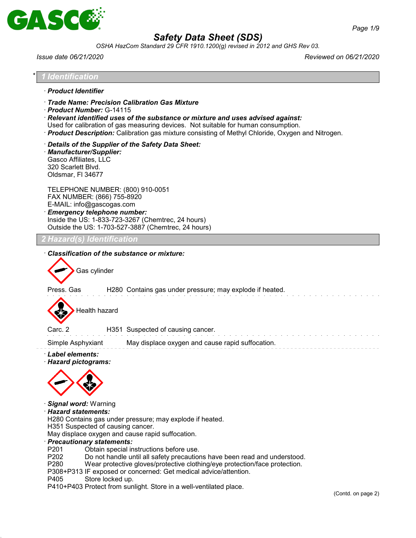

*OSHA HazCom Standard 29 CFR 1910.1200(g) revised in 2012 and GHS Rev 03.*

\* *1 Identification* · *Product Identifier*

*Issue date 06/21/2020 Reviewed on 06/21/2020*

| Trade Name: Precision Calibration Gas Mixture<br>Product Number: G-14115<br>$\cdot$ Relevant identified uses of the substance or mixture and uses advised against:<br>Used for calibration of gas measuring devices. Not suitable for human consumption.<br>· Product Description: Calibration gas mixture consisting of Methyl Chloride, Oxygen and Nitrogen.                                   |                    |
|--------------------------------------------------------------------------------------------------------------------------------------------------------------------------------------------------------------------------------------------------------------------------------------------------------------------------------------------------------------------------------------------------|--------------------|
| Details of the Supplier of the Safety Data Sheet:<br>· Manufacturer/Supplier:<br>Gasco Affiliates, LLC<br>320 Scarlett Blvd.<br>Oldsmar, FI 34677                                                                                                                                                                                                                                                |                    |
| TELEPHONE NUMBER: (800) 910-0051<br>FAX NUMBER: (866) 755-8920<br>E-MAIL: info@gascogas.com<br><b>Emergency telephone number:</b><br>Inside the US: 1-833-723-3267 (Chemtrec, 24 hours)<br>Outside the US: 1-703-527-3887 (Chemtrec, 24 hours)                                                                                                                                                   |                    |
| Hazard(s) Identification                                                                                                                                                                                                                                                                                                                                                                         |                    |
| Classification of the substance or mixture:<br>Gas cylinder                                                                                                                                                                                                                                                                                                                                      |                    |
| Press. Gas<br>H280 Contains gas under pressure; may explode if heated.                                                                                                                                                                                                                                                                                                                           |                    |
| Health hazard                                                                                                                                                                                                                                                                                                                                                                                    |                    |
| Carc. 2<br>H351 Suspected of causing cancer.                                                                                                                                                                                                                                                                                                                                                     |                    |
| Simple Asphyxiant<br>May displace oxygen and cause rapid suffocation.                                                                                                                                                                                                                                                                                                                            |                    |
| · Label elements:<br>· Hazard pictograms:<br>Signal word: Warning<br>· Hazard statements:<br>H280 Contains gas under pressure; may explode if heated.<br>H351 Suspected of causing cancer.<br>May displace oxygen and cause rapid suffocation.<br>· Precautionary statements:                                                                                                                    |                    |
| P201<br>Obtain special instructions before use.<br>P202<br>Do not handle until all safety precautions have been read and understood.<br>P280<br>Wear protective gloves/protective clothing/eye protection/face protection.<br>P308+P313 IF exposed or concerned: Get medical advice/attention.<br>P405<br>Store locked up.<br>P410+P403 Protect from sunlight. Store in a well-ventilated place. | (Contd. on page 2) |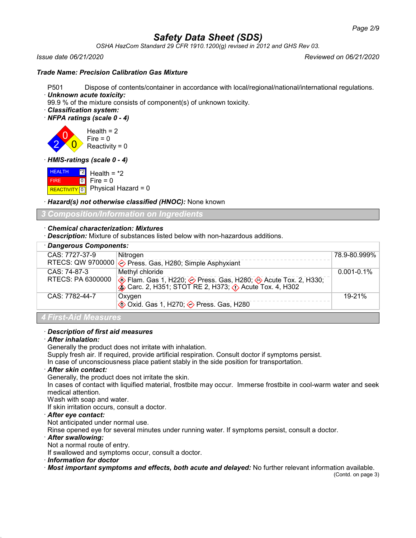*OSHA HazCom Standard 29 CFR 1910.1200(g) revised in 2012 and GHS Rev 03.*

### *Issue date 06/21/2020 Reviewed on 06/21/2020*

## *Trade Name: Precision Calibration Gas Mixture*

- P501 Dispose of contents/container in accordance with local/regional/national/international regulations.
- · *Unknown acute toxicity:*

99.9 % of the mixture consists of component(s) of unknown toxicity.

- · *Classification system:*
- · *NFPA ratings (scale 0 4)*

2 0  $\overline{0}$ Health  $= 2$  $Fire = 0$ Reactivity  $= 0$ 

· *HMIS-ratings (scale 0 - 4)*

|             | $H\left(\frac{1}{2} + \frac{1}{2}\right)$ Health = *2 |
|-------------|-------------------------------------------------------|
| <b>FIRE</b> | $\bullet$ Fire = 0                                    |
|             | REACTIVITY $\boxed{0}$ Physical Hazard = 0            |

· *Hazard(s) not otherwise classified (HNOC):* None known

## *3 Composition/Information on Ingredients*

## · *Chemical characterization: Mixtures*

· *Description:* Mixture of substances listed below with non-hazardous additions.

| · Dangerous Components: |                                                                                                                         |                 |
|-------------------------|-------------------------------------------------------------------------------------------------------------------------|-----------------|
| CAS: 7727-37-9          | Nitrogen                                                                                                                | 78.9-80.999%    |
|                         | RTECS: QW 9700000 $\diamond$ Press. Gas, H280; Simple Asphyxiant                                                        |                 |
| CAS: 74-87-3            | Methyl chloride                                                                                                         | $0.001 - 0.1\%$ |
| RTECS: PA 6300000       | Elam. Gas 1, H220; A Press. Gas, H280; A Acute Tox. 2, H330;<br>So Carc. 2, H351; STOT RE 2, H373; A Acute Tox. 4, H302 |                 |
| CAS: 7782-44-7          | Oxygen                                                                                                                  | 19-21%          |
|                         | <b><sup>◆</sup> Oxid. Gas 1, H270; → Press. Gas, H280</b>                                                               |                 |

## *4 First-Aid Measures*

## · *Description of first aid measures*

## · *After inhalation:*

Generally the product does not irritate with inhalation.

Supply fresh air. If required, provide artificial respiration. Consult doctor if symptoms persist.

In case of unconsciousness place patient stably in the side position for transportation.

## · *After skin contact:*

Generally, the product does not irritate the skin.

In cases of contact with liquified material, frostbite may occur. Immerse frostbite in cool-warm water and seek medical attention.

Wash with soap and water.

If skin irritation occurs, consult a doctor.

## · *After eye contact:*

Not anticipated under normal use.

Rinse opened eye for several minutes under running water. If symptoms persist, consult a doctor.

#### · *After swallowing:*

Not a normal route of entry.

If swallowed and symptoms occur, consult a doctor.

· *Information for doctor*

· *Most important symptoms and effects, both acute and delayed:* No further relevant information available.

(Contd. on page 3)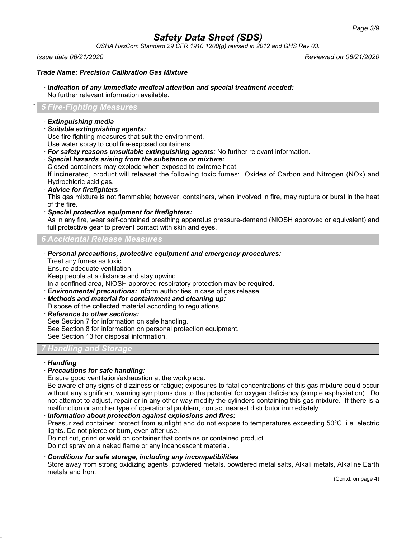*OSHA HazCom Standard 29 CFR 1910.1200(g) revised in 2012 and GHS Rev 03.*

*Issue date 06/21/2020 Reviewed on 06/21/2020*

## *Trade Name: Precision Calibration Gas Mixture*

### · *Indication of any immediate medical attention and special treatment needed:*

No further relevant information available.

## \* *5 Fire-Fighting Measures*

#### · *Extinguishing media*

· *Suitable extinguishing agents:*

Use fire fighting measures that suit the environment.

Use water spray to cool fire-exposed containers.

- · *For safety reasons unsuitable extinguishing agents:* No further relevant information.
- · *Special hazards arising from the substance or mixture:*
- Closed containers may explode when exposed to extreme heat.

If incinerated, product will releaset the following toxic fumes: Oxides of Carbon and Nitrogen (NOx) and Hydrochloric acid gas.

#### · *Advice for firefighters*

This gas mixture is not flammable; however, containers, when involved in fire, may rupture or burst in the heat of the fire.

· *Special protective equipment for firefighters:*

As in any fire, wear self-contained breathing apparatus pressure-demand (NIOSH approved or equivalent) and full protective gear to prevent contact with skin and eyes.

## *6 Accidental Release Measures*

· *Personal precautions, protective equipment and emergency procedures:*

Treat any fumes as toxic.

Ensure adequate ventilation.

Keep people at a distance and stay upwind.

In a confined area, NIOSH approved respiratory protection may be required.

· *Environmental precautions:* Inform authorities in case of gas release.

· *Methods and material for containment and cleaning up:*

Dispose of the collected material according to regulations.

· *Reference to other sections:*

See Section 7 for information on safe handling.

See Section 8 for information on personal protection equipment.

See Section 13 for disposal information.

## *7 Handling and Storage*

#### · *Handling*

## · *Precautions for safe handling:*

Ensure good ventilation/exhaustion at the workplace.

Be aware of any signs of dizziness or fatigue; exposures to fatal concentrations of this gas mixture could occur without any significant warning symptoms due to the potential for oxygen deficiency (simple asphyxiation). Do not attempt to adjust, repair or in any other way modify the cylinders containing this gas mixture. If there is a malfunction or another type of operational problem, contact nearest distributor immediately.

## · *Information about protection against explosions and fires:*

Pressurized container: protect from sunlight and do not expose to temperatures exceeding 50°C, i.e. electric lights. Do not pierce or burn, even after use.

Do not cut, grind or weld on container that contains or contained product.

Do not spray on a naked flame or any incandescent material.

## · *Conditions for safe storage, including any incompatibilities*

Store away from strong oxidizing agents, powdered metals, powdered metal salts, Alkali metals, Alkaline Earth metals and Iron.

(Contd. on page 4)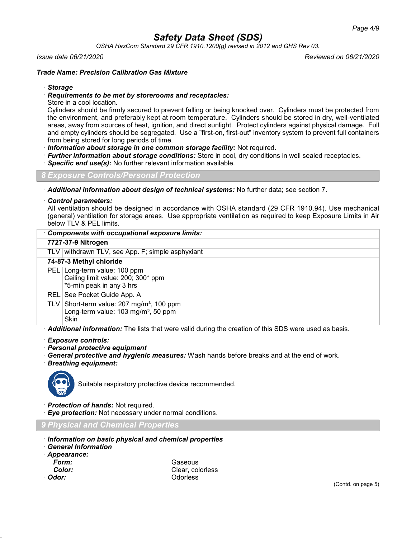*OSHA HazCom Standard 29 CFR 1910.1200(g) revised in 2012 and GHS Rev 03.*

#### *Issue date 06/21/2020 Reviewed on 06/21/2020*

## *Trade Name: Precision Calibration Gas Mixture*

### · *Storage*

### · *Requirements to be met by storerooms and receptacles:*

Store in a cool location.

Cylinders should be firmly secured to prevent falling or being knocked over. Cylinders must be protected from the environment, and preferably kept at room temperature. Cylinders should be stored in dry, well-ventilated areas, away from sources of heat, ignition, and direct sunlight. Protect cylinders against physical damage. Full and empty cylinders should be segregated. Use a "first-on, first-out" inventory system to prevent full containers from being stored for long periods of time.

· *Information about storage in one common storage facility:* Not required.

- · *Further information about storage conditions:* Store in cool, dry conditions in well sealed receptacles.
- **Specific end use(s):** No further relevant information available.

*8 Exposure Controls/Personal Protection*

· *Additional information about design of technical systems:* No further data; see section 7.

#### · *Control parameters:*

All ventilation should be designed in accordance with OSHA standard (29 CFR 1910.94). Use mechanical (general) ventilation for storage areas. Use appropriate ventilation as required to keep Exposure Limits in Air below TLV & PEL limits.

## · *Components with occupational exposure limits:*

#### **7727-37-9 Nitrogen**

TLV withdrawn TLV, see App. F; simple asphyxiant

#### **74-87-3 Methyl chloride**

PEL Long-term value: 100 ppm Ceiling limit value: 200; 300\* ppm \*5-min peak in any 3 hrs

#### REL See Pocket Guide App. A

TLV Short-term value:  $207 \text{ mg/m}^3$ , 100 ppm Long-term value:  $103 \text{ mg/m}^3$ , 50 ppm **Skin** 

· *Additional information:* The lists that were valid during the creation of this SDS were used as basis.

#### · *Exposure controls:*

- · *Personal protective equipment*
- · *General protective and hygienic measures:* Wash hands before breaks and at the end of work.
- · *Breathing equipment:*



Suitable respiratory protective device recommended.

- · *Protection of hands:* Not required.
- · *Eye protection:* Not necessary under normal conditions.

*9 Physical and Chemical Properties*

- · *Information on basic physical and chemical properties*
- · *General Information*
- · *Appearance:*
- *Form:* Gaseous *Color:* Clear, colorless · *Odor:* Odorless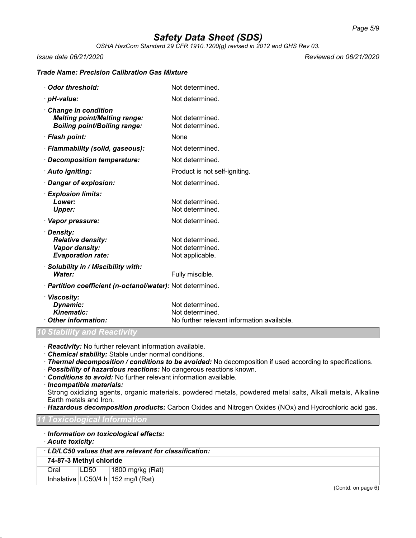*OSHA HazCom Standard 29 CFR 1910.1200(g) revised in 2012 and GHS Rev 03.*

*Issue date 06/21/2020 Reviewed on 06/21/2020*

## *Trade Name: Precision Calibration Gas Mixture*

| Odor threshold:                                                                                   | Not determined.                                                                  |
|---------------------------------------------------------------------------------------------------|----------------------------------------------------------------------------------|
| · pH-value:                                                                                       | Not determined.                                                                  |
| Change in condition<br><b>Melting point/Melting range:</b><br><b>Boiling point/Boiling range:</b> | Not determined.<br>Not determined.                                               |
| · Flash point:                                                                                    | None                                                                             |
| · Flammability (solid, gaseous):                                                                  | Not determined.                                                                  |
| · Decomposition temperature:                                                                      | Not determined.                                                                  |
| · Auto igniting:                                                                                  | Product is not self-igniting.                                                    |
| · Danger of explosion:                                                                            | Not determined.                                                                  |
| · Explosion limits:<br>Lower:<br><b>Upper:</b>                                                    | Not determined.<br>Not determined.                                               |
| · Vapor pressure:                                                                                 | Not determined.                                                                  |
| · Density:<br><b>Relative density:</b><br>Vapor density:<br><b>Evaporation rate:</b>              | Not determined.<br>Not determined.<br>Not applicable.                            |
| · Solubility in / Miscibility with:<br>Water:                                                     | Fully miscible.                                                                  |
| · Partition coefficient (n-octanol/water): Not determined.                                        |                                                                                  |
| · Viscosity:<br>Dynamic:<br><b>Kinematic:</b><br>Other information:                               | Not determined.<br>Not determined.<br>No further relevant information available. |

*10 Stability and Reactivity*

· *Reactivity:* No further relevant information available.

· *Chemical stability:* Stable under normal conditions.

· *Thermal decomposition / conditions to be avoided:* No decomposition if used according to specifications.

- · *Possibility of hazardous reactions:* No dangerous reactions known.
- · *Conditions to avoid:* No further relevant information available.

#### · *Incompatible materials:*

Strong oxidizing agents, organic materials, powdered metals, powdered metal salts, Alkali metals, Alkaline Earth metals and Iron.

· *Hazardous decomposition products:* Carbon Oxides and Nitrogen Oxides (NOx) and Hydrochloric acid gas.

#### *11 Toxicological Information*

## · *Information on toxicological effects:*

## · *Acute toxicity:*

· *LD/LC50 values that are relevant for classification:*

#### **74-87-3 Methyl chloride**

Oral LD50 1800 mg/kg (Rat) Inhalative  $|LG50/4 h|152 mg/l (Rat)$ 

(Contd. on page 6)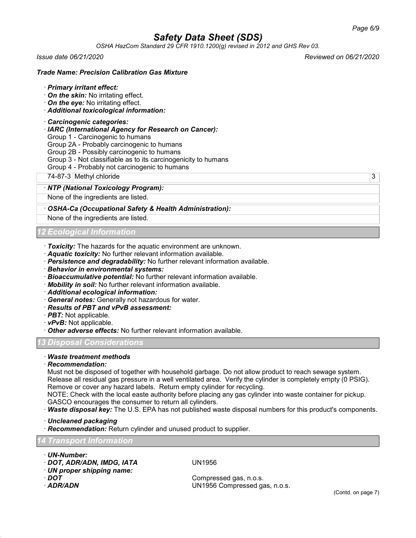*OSHA HazCom Standard 29 CFR 1910.1200(g) revised in 2012 and GHS Rev 03.*

*Issue date 06/21/2020 Reviewed on 06/21/2020*

### *Trade Name: Precision Calibration Gas Mixture*

#### · *Primary irritant effect:*

- · *On the skin:* No irritating effect.
- · *On the eye:* No irritating effect.
- · *Additional toxicological information:*

#### · *Carcinogenic categories:*

- · *IARC (International Agency for Research on Cancer):*
- Group 1 Carcinogenic to humans
- Group 2A Probably carcinogenic to humans
- Group 2B Possibly carcinogenic to humans
- Group 3 Not classifiable as to its carcinogenicity to humans
- Group 4 Probably not carcinogenic to humans

74-87-3 Methyl chloride 3

#### · *NTP (National Toxicology Program):*

None of the ingredients are listed.

#### · *OSHA-Ca (Occupational Safety & Health Administration):*

None of the ingredients are listed.

## *12 Ecological Information*

- · *Toxicity:* The hazards for the aquatic environment are unknown.
- · *Aquatic toxicity:* No further relevant information available.
- · *Persistence and degradability:* No further relevant information available.
- · *Behavior in environmental systems:*
- · *Bioaccumulative potential:* No further relevant information available.
- · *Mobility in soil:* No further relevant information available.
- · *Additional ecological information:*
- · *General notes:* Generally not hazardous for water.
- · *Results of PBT and vPvB assessment:*
- · *PBT:* Not applicable.
- · *vPvB:* Not applicable.
- · *Other adverse effects:* No further relevant information available.

## *13 Disposal Considerations*

## · *Waste treatment methods*

#### · *Recommendation:*

Must not be disposed of together with household garbage. Do not allow product to reach sewage system. Release all residual gas pressure in a well ventilated area. Verify the cylinder is completely empty (0 PSIG). Remove or cover any hazard labels. Return empty cylinder for recycling.

NOTE: Check with the local easte authority before placing any gas cylinder into waste container for pickup. GASCO encourages the consumer to return all cylinders.

· *Waste disposal key:* The U.S. EPA has not published waste disposal numbers for this product's components.

· *Uncleaned packaging*

· *Recommendation:* Return cylinder and unused product to supplier.

## *14 Transport Information*

- · *UN-Number:*
- · *DOT, ADR/ADN, IMDG, IATA* UN1956
- · *UN proper shipping name:*
- 
- 

Compressed gas, n.o.s. · *ADR/ADN* UN1956 Compressed gas, n.o.s.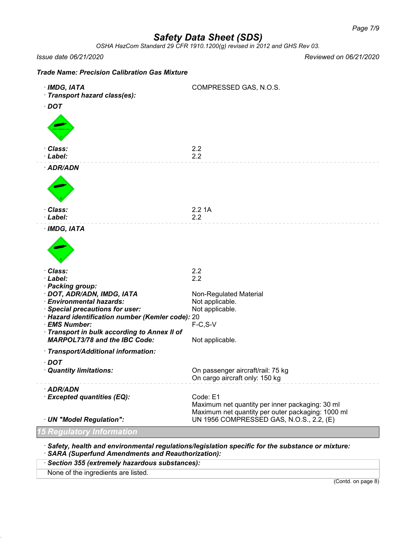*OSHA HazCom Standard 29 CFR 1910.1200(g) revised in 2012 and GHS Rev 03.*

*Issue date 06/21/2020 Reviewed on 06/21/2020*

| <b>Trade Name: Precision Calibration Gas Mixture</b> |  |  |  |
|------------------------------------------------------|--|--|--|
|------------------------------------------------------|--|--|--|

| $\cdot$ IMDG, IATA<br>· Transport hazard class(es):<br>$\cdot$ DOT                  | COMPRESSED GAS, N.O.S.                                                                                           |
|-------------------------------------------------------------------------------------|------------------------------------------------------------------------------------------------------------------|
|                                                                                     |                                                                                                                  |
| Class:<br>· Label:                                                                  | 2.2<br>2.2                                                                                                       |
| · ADR/ADN                                                                           |                                                                                                                  |
|                                                                                     |                                                                                                                  |
| Class:<br>· Label:                                                                  | 2.21A                                                                                                            |
| · IMDG, IATA                                                                        | 2.2                                                                                                              |
|                                                                                     |                                                                                                                  |
| Class:                                                                              | 2.2                                                                                                              |
| · Label:<br>· Packing group:                                                        | 2.2                                                                                                              |
| · DOT, ADR/ADN, IMDG, IATA                                                          | Non-Regulated Material                                                                                           |
| · Environmental hazards:                                                            | Not applicable.                                                                                                  |
| · Special precautions for user:<br>· Hazard identification number (Kemler code): 20 | Not applicable.                                                                                                  |
| · EMS Number:                                                                       | $F-C, S-V$                                                                                                       |
| Transport in bulk according to Annex II of<br><b>MARPOL73/78 and the IBC Code:</b>  | Not applicable.                                                                                                  |
| · Transport/Additional information:                                                 |                                                                                                                  |
| $\cdot$ DOT                                                                         |                                                                                                                  |
| · Quantity limitations:                                                             | On passenger aircraft/rail: 75 kg<br>On cargo aircraft only: 150 kg                                              |
| · ADR/ADN                                                                           |                                                                                                                  |
| <b>Excepted quantities (EQ):</b>                                                    | Code: E1<br>Maximum net quantity per inner packaging: 30 ml<br>Maximum net quantity per outer packaging: 1000 ml |
| · UN "Model Regulation":                                                            | UN 1956 COMPRESSED GAS, N.O.S., 2.2, (E)                                                                         |
| 5 Regulatory Information                                                            |                                                                                                                  |
|                                                                                     | $\cdot$ Safety, health and environmental regulations/legislation specific for the substance or mixture:          |

· *SARA (Superfund Amendments and Reauthorization):*

· *Section 355 (extremely hazardous substances):*

None of the ingredients are listed.

(Contd. on page 8)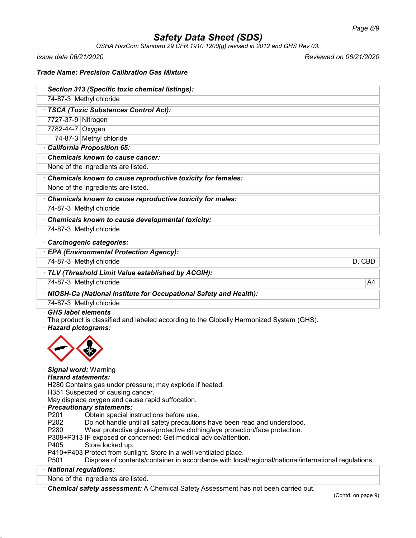*OSHA HazCom Standard 29 CFR 1910.1200(g) revised in 2012 and GHS Rev 03.*

*Issue date 06/21/2020 Reviewed on 06/21/2020*

## *Trade Name: Precision Calibration Gas Mixture*

| · Section 313 (Specific toxic chemical listings):           |  |  |
|-------------------------------------------------------------|--|--|
| 74-87-3 Methyl chloride                                     |  |  |
| · TSCA (Toxic Substances Control Act):                      |  |  |
| 7727-37-9 Nitrogen                                          |  |  |
| 7782-44-7 Oxygen                                            |  |  |
| 74-87-3 Methyl chloride                                     |  |  |
| California Proposition 65:                                  |  |  |
| Chemicals known to cause cancer:                            |  |  |
| None of the ingredients are listed.                         |  |  |
| Chemicals known to cause reproductive toxicity for females: |  |  |
| None of the ingredients are listed.                         |  |  |
| Chamicale known to couse reproductive toxicity for males:   |  |  |

· *Chemicals known to cause reproductive toxicity for males:*

74-87-3 Methyl chloride

· *Chemicals known to cause developmental toxicity:* 74-87-3 Methyl chloride

· *Carcinogenic categories:*

· *EPA (Environmental Protection Agency):*

74-87-3 Methyl chloride D, CBD

· *TLV (Threshold Limit Value established by ACGIH):*

74-87-3 Methyl chloride A4

· *NIOSH-Ca (National Institute for Occupational Safety and Health):*

74-87-3 Methyl chloride

· *GHS label elements*

The product is classified and labeled according to the Globally Harmonized System (GHS). · *Hazard pictograms:*



## · *Signal word:* Warning

· *Hazard statements:*

H280 Contains gas under pressure; may explode if heated.

H351 Suspected of causing cancer.

May displace oxygen and cause rapid suffocation.

· *Precautionary statements:*

P201 Obtain special instructions before use.<br>P202 Do not handle until all safety precaution

Do not handle until all safety precautions have been read and understood.

P280 Wear protective gloves/protective clothing/eye protection/face protection.

P308+P313 IF exposed or concerned: Get medical advice/attention.

P405 Store locked up.

P410+P403 Protect from sunlight. Store in a well-ventilated place.

P501 Dispose of contents/container in accordance with local/regional/national/international regulations.

## · *National regulations:*

None of the ingredients are listed.

· *Chemical safety assessment:* A Chemical Safety Assessment has not been carried out.